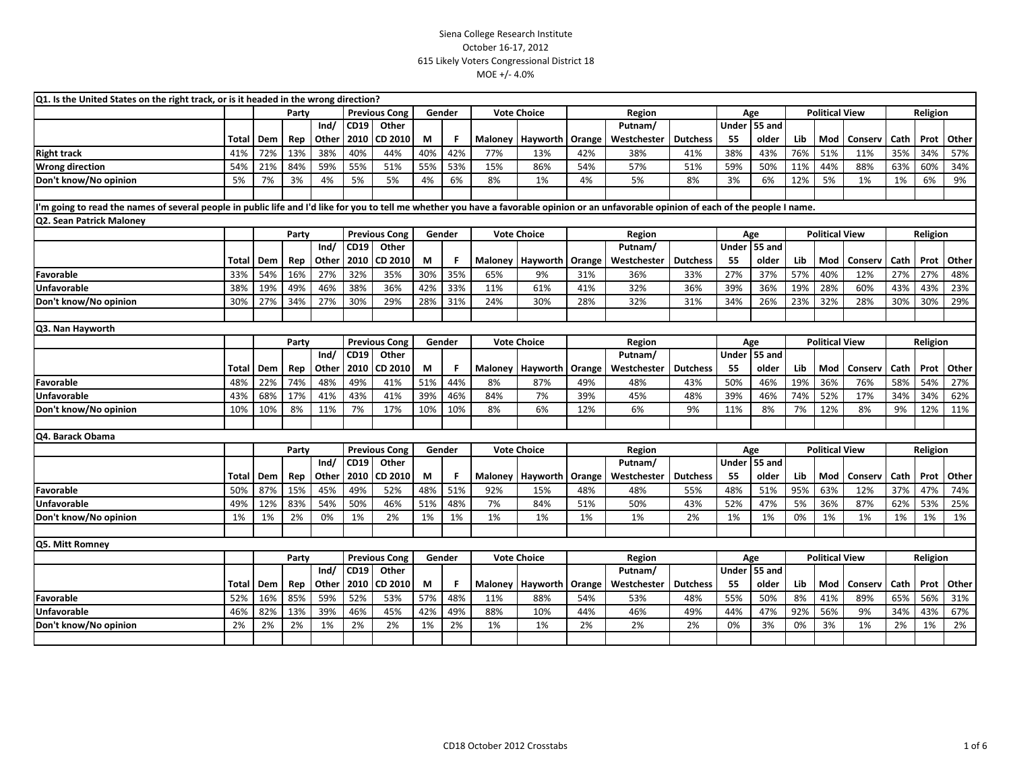| <b>Previous Cong</b><br>Party<br>Gender<br><b>Vote Choice</b><br>Region<br>Age<br><b>Political View</b><br>Religion<br>55 and<br>Ind/<br>CD19<br>Other<br>Under<br>Putnam/<br>Other<br>2010<br>CD 2010<br>М<br>Hayworth<br>Westchester<br><b>Dutchess</b><br>55<br>Mod<br>Conserv<br>Cath<br>Prot<br>Dem<br>Rep<br>F<br>Maloney<br>Orange<br>older<br>Lib<br>Total<br>13%<br>42%<br>51%<br>38%<br>40%<br>40%<br>77%<br>38%<br>76%<br>11%<br>35%<br>34%<br><b>Right track</b><br>41%<br>72%<br>44%<br>13%<br>42%<br>38%<br>41%<br>43%<br>55%<br>55%<br>53%<br>84%<br>59%<br>51%<br>15%<br>86%<br>54%<br>57%<br>51%<br>59%<br>11%<br>44%<br>88%<br>63%<br>60%<br><b>Wrong direction</b><br>54%<br>21%<br>50%<br>3%<br>5%<br>1%<br>4%<br>5%<br>8%<br>5%<br>1%<br>Don't know/No opinion<br>7%<br>4%<br>5%<br>4%<br>6%<br>8%<br>3%<br>6%<br>12%<br>1%<br>6%<br>5%<br>I'm going to read the names of several people in public life and I'd like for you to tell me whether you have a favorable opinion or an unfavorable opinion of each of the people I name.<br>Q2. Sean Patrick Maloney<br><b>Previous Cong</b><br>Gender<br><b>Vote Choice</b><br><b>Political View</b><br>Party<br>Age<br>Religion<br>Region<br>Ind/<br>Under 55 and<br>CD19<br>Other<br>Putnam/<br>M<br>Other<br>2010<br>CD 2010<br>Hayworth<br><b>Dutchess</b><br>Cath<br>Prot<br>Dem<br>Rep<br>F<br>Orange<br>Westchester<br>55<br>older<br>Lib<br>Mod<br>Conserv<br>Total<br>Maloney<br>27%<br>35%<br>27%<br>27%<br>54%<br>16%<br>32%<br>35%<br>30%<br>65%<br>9%<br>36%<br>37%<br>57%<br>40%<br>12%<br>27%<br>Favorable<br>33%<br>31%<br>33%<br>38%<br>33%<br>28%<br>60%<br>38%<br>19%<br>49%<br>46%<br>36%<br>42%<br>11%<br>61%<br>41%<br>32%<br>36%<br>39%<br>36%<br>19%<br>43%<br>43%<br><b>Unfavorable</b><br>32%<br>28%<br>30%<br>34%<br>27%<br>30%<br>29%<br>28%<br>31%<br>24%<br>30%<br>28%<br>32%<br>31%<br>34%<br>26%<br>23%<br>30%<br>Don't know/No opinion<br>27%<br>30% | Other<br>57%<br>34%<br>9%<br>Other<br>48%<br>23%<br>29% |
|---------------------------------------------------------------------------------------------------------------------------------------------------------------------------------------------------------------------------------------------------------------------------------------------------------------------------------------------------------------------------------------------------------------------------------------------------------------------------------------------------------------------------------------------------------------------------------------------------------------------------------------------------------------------------------------------------------------------------------------------------------------------------------------------------------------------------------------------------------------------------------------------------------------------------------------------------------------------------------------------------------------------------------------------------------------------------------------------------------------------------------------------------------------------------------------------------------------------------------------------------------------------------------------------------------------------------------------------------------------------------------------------------------------------------------------------------------------------------------------------------------------------------------------------------------------------------------------------------------------------------------------------------------------------------------------------------------------------------------------------------------------------------------------------------------------------------------------------------------------------------------------------------------------------------------------------------------|---------------------------------------------------------|
|                                                                                                                                                                                                                                                                                                                                                                                                                                                                                                                                                                                                                                                                                                                                                                                                                                                                                                                                                                                                                                                                                                                                                                                                                                                                                                                                                                                                                                                                                                                                                                                                                                                                                                                                                                                                                                                                                                                                                         |                                                         |
|                                                                                                                                                                                                                                                                                                                                                                                                                                                                                                                                                                                                                                                                                                                                                                                                                                                                                                                                                                                                                                                                                                                                                                                                                                                                                                                                                                                                                                                                                                                                                                                                                                                                                                                                                                                                                                                                                                                                                         |                                                         |
|                                                                                                                                                                                                                                                                                                                                                                                                                                                                                                                                                                                                                                                                                                                                                                                                                                                                                                                                                                                                                                                                                                                                                                                                                                                                                                                                                                                                                                                                                                                                                                                                                                                                                                                                                                                                                                                                                                                                                         |                                                         |
|                                                                                                                                                                                                                                                                                                                                                                                                                                                                                                                                                                                                                                                                                                                                                                                                                                                                                                                                                                                                                                                                                                                                                                                                                                                                                                                                                                                                                                                                                                                                                                                                                                                                                                                                                                                                                                                                                                                                                         |                                                         |
|                                                                                                                                                                                                                                                                                                                                                                                                                                                                                                                                                                                                                                                                                                                                                                                                                                                                                                                                                                                                                                                                                                                                                                                                                                                                                                                                                                                                                                                                                                                                                                                                                                                                                                                                                                                                                                                                                                                                                         |                                                         |
|                                                                                                                                                                                                                                                                                                                                                                                                                                                                                                                                                                                                                                                                                                                                                                                                                                                                                                                                                                                                                                                                                                                                                                                                                                                                                                                                                                                                                                                                                                                                                                                                                                                                                                                                                                                                                                                                                                                                                         |                                                         |
|                                                                                                                                                                                                                                                                                                                                                                                                                                                                                                                                                                                                                                                                                                                                                                                                                                                                                                                                                                                                                                                                                                                                                                                                                                                                                                                                                                                                                                                                                                                                                                                                                                                                                                                                                                                                                                                                                                                                                         |                                                         |
|                                                                                                                                                                                                                                                                                                                                                                                                                                                                                                                                                                                                                                                                                                                                                                                                                                                                                                                                                                                                                                                                                                                                                                                                                                                                                                                                                                                                                                                                                                                                                                                                                                                                                                                                                                                                                                                                                                                                                         |                                                         |
|                                                                                                                                                                                                                                                                                                                                                                                                                                                                                                                                                                                                                                                                                                                                                                                                                                                                                                                                                                                                                                                                                                                                                                                                                                                                                                                                                                                                                                                                                                                                                                                                                                                                                                                                                                                                                                                                                                                                                         |                                                         |
|                                                                                                                                                                                                                                                                                                                                                                                                                                                                                                                                                                                                                                                                                                                                                                                                                                                                                                                                                                                                                                                                                                                                                                                                                                                                                                                                                                                                                                                                                                                                                                                                                                                                                                                                                                                                                                                                                                                                                         |                                                         |
|                                                                                                                                                                                                                                                                                                                                                                                                                                                                                                                                                                                                                                                                                                                                                                                                                                                                                                                                                                                                                                                                                                                                                                                                                                                                                                                                                                                                                                                                                                                                                                                                                                                                                                                                                                                                                                                                                                                                                         |                                                         |
|                                                                                                                                                                                                                                                                                                                                                                                                                                                                                                                                                                                                                                                                                                                                                                                                                                                                                                                                                                                                                                                                                                                                                                                                                                                                                                                                                                                                                                                                                                                                                                                                                                                                                                                                                                                                                                                                                                                                                         |                                                         |
|                                                                                                                                                                                                                                                                                                                                                                                                                                                                                                                                                                                                                                                                                                                                                                                                                                                                                                                                                                                                                                                                                                                                                                                                                                                                                                                                                                                                                                                                                                                                                                                                                                                                                                                                                                                                                                                                                                                                                         |                                                         |
|                                                                                                                                                                                                                                                                                                                                                                                                                                                                                                                                                                                                                                                                                                                                                                                                                                                                                                                                                                                                                                                                                                                                                                                                                                                                                                                                                                                                                                                                                                                                                                                                                                                                                                                                                                                                                                                                                                                                                         |                                                         |
|                                                                                                                                                                                                                                                                                                                                                                                                                                                                                                                                                                                                                                                                                                                                                                                                                                                                                                                                                                                                                                                                                                                                                                                                                                                                                                                                                                                                                                                                                                                                                                                                                                                                                                                                                                                                                                                                                                                                                         |                                                         |
|                                                                                                                                                                                                                                                                                                                                                                                                                                                                                                                                                                                                                                                                                                                                                                                                                                                                                                                                                                                                                                                                                                                                                                                                                                                                                                                                                                                                                                                                                                                                                                                                                                                                                                                                                                                                                                                                                                                                                         |                                                         |
| Q3. Nan Hayworth                                                                                                                                                                                                                                                                                                                                                                                                                                                                                                                                                                                                                                                                                                                                                                                                                                                                                                                                                                                                                                                                                                                                                                                                                                                                                                                                                                                                                                                                                                                                                                                                                                                                                                                                                                                                                                                                                                                                        |                                                         |
| <b>Political View</b><br>Party<br><b>Previous Cong</b><br>Gender<br><b>Vote Choice</b><br>Region<br>Age<br>Religion                                                                                                                                                                                                                                                                                                                                                                                                                                                                                                                                                                                                                                                                                                                                                                                                                                                                                                                                                                                                                                                                                                                                                                                                                                                                                                                                                                                                                                                                                                                                                                                                                                                                                                                                                                                                                                     |                                                         |
| Under 55 and<br>Ind/<br>CD19<br>Other<br>Putnam/                                                                                                                                                                                                                                                                                                                                                                                                                                                                                                                                                                                                                                                                                                                                                                                                                                                                                                                                                                                                                                                                                                                                                                                                                                                                                                                                                                                                                                                                                                                                                                                                                                                                                                                                                                                                                                                                                                        |                                                         |
| 2010<br>CD 2010<br>M<br>Hayworth<br>Westchester<br>Dem<br>Rep<br>Other<br>F<br>Maloney<br>Orange<br><b>Dutchess</b><br>55<br>older<br>Lib<br>Mod<br>Conserv<br>Cath<br>Prot<br>Total                                                                                                                                                                                                                                                                                                                                                                                                                                                                                                                                                                                                                                                                                                                                                                                                                                                                                                                                                                                                                                                                                                                                                                                                                                                                                                                                                                                                                                                                                                                                                                                                                                                                                                                                                                    | Other                                                   |
| 74%<br>48%<br>49%<br>41%<br>51%<br>44%<br>50%<br>19%<br>36%<br>76%<br>58%<br>54%<br>Favorable<br>48%<br>22%<br>8%<br>87%<br>49%<br>48%<br>43%<br>46%                                                                                                                                                                                                                                                                                                                                                                                                                                                                                                                                                                                                                                                                                                                                                                                                                                                                                                                                                                                                                                                                                                                                                                                                                                                                                                                                                                                                                                                                                                                                                                                                                                                                                                                                                                                                    | 27%                                                     |
| 17%<br>17%<br>41%<br>43%<br>41%<br>39%<br>46%<br>84%<br>7%<br>39%<br>45%<br>48%<br>39%<br>74%<br>52%<br>34%<br>34%<br><b>Unfavorable</b><br>43%<br>68%<br>46%                                                                                                                                                                                                                                                                                                                                                                                                                                                                                                                                                                                                                                                                                                                                                                                                                                                                                                                                                                                                                                                                                                                                                                                                                                                                                                                                                                                                                                                                                                                                                                                                                                                                                                                                                                                           | 62%                                                     |
| 8%<br>6%<br>6%<br>8%<br>7%<br>17%<br>10%<br>10%<br>8%<br>12%<br>9%<br>12%<br>9%<br>12%<br>Don't know/No opinion<br>10%<br>10%<br>11%<br>11%<br>8%<br>7%                                                                                                                                                                                                                                                                                                                                                                                                                                                                                                                                                                                                                                                                                                                                                                                                                                                                                                                                                                                                                                                                                                                                                                                                                                                                                                                                                                                                                                                                                                                                                                                                                                                                                                                                                                                                 | 11%                                                     |
|                                                                                                                                                                                                                                                                                                                                                                                                                                                                                                                                                                                                                                                                                                                                                                                                                                                                                                                                                                                                                                                                                                                                                                                                                                                                                                                                                                                                                                                                                                                                                                                                                                                                                                                                                                                                                                                                                                                                                         |                                                         |
| Q4. Barack Obama                                                                                                                                                                                                                                                                                                                                                                                                                                                                                                                                                                                                                                                                                                                                                                                                                                                                                                                                                                                                                                                                                                                                                                                                                                                                                                                                                                                                                                                                                                                                                                                                                                                                                                                                                                                                                                                                                                                                        |                                                         |
| <b>Previous Cong</b><br><b>Vote Choice</b><br><b>Political View</b><br>Gender<br>Age<br>Religion<br>Party<br>Region<br>Ind/<br>Under 55 and<br>CD19<br>Other<br>Putnam/                                                                                                                                                                                                                                                                                                                                                                                                                                                                                                                                                                                                                                                                                                                                                                                                                                                                                                                                                                                                                                                                                                                                                                                                                                                                                                                                                                                                                                                                                                                                                                                                                                                                                                                                                                                 |                                                         |
| Other<br>CD 2010<br>M<br>Maloney Hayworth<br>Cath<br>Dem<br>Rep<br>2010<br>F<br>Orange<br>Westchester<br><b>Dutchess</b><br>55<br>older<br>Lib<br>Mod<br>Conserv<br>Prot<br>Total                                                                                                                                                                                                                                                                                                                                                                                                                                                                                                                                                                                                                                                                                                                                                                                                                                                                                                                                                                                                                                                                                                                                                                                                                                                                                                                                                                                                                                                                                                                                                                                                                                                                                                                                                                       | Other                                                   |
| 48%<br>63%<br>50%<br>87%<br>15%<br>45%<br>49%<br>52%<br>48%<br>51%<br>92%<br>48%<br>95%<br>12%<br>47%<br>Favorable<br>15%<br>48%<br>55%<br>51%<br>37%                                                                                                                                                                                                                                                                                                                                                                                                                                                                                                                                                                                                                                                                                                                                                                                                                                                                                                                                                                                                                                                                                                                                                                                                                                                                                                                                                                                                                                                                                                                                                                                                                                                                                                                                                                                                   | 74%                                                     |
| 87%<br>83%<br>54%<br>50%<br>46%<br>51%<br>48%<br>7%<br>84%<br>51%<br>50%<br>43%<br>52%<br>47%<br>36%<br>62%<br>53%<br><b>Unfavorable</b><br>49%<br>12%<br>5%                                                                                                                                                                                                                                                                                                                                                                                                                                                                                                                                                                                                                                                                                                                                                                                                                                                                                                                                                                                                                                                                                                                                                                                                                                                                                                                                                                                                                                                                                                                                                                                                                                                                                                                                                                                            | 25%                                                     |
| 2%<br>0%<br>1%<br>2%<br>1%<br>1%<br>1%<br>2%<br>1%<br>1%<br>Don't know/No opinion<br>1%<br>1%<br>1%<br>1%<br>1%<br>1%<br>1%<br>0%<br>1%<br>1%                                                                                                                                                                                                                                                                                                                                                                                                                                                                                                                                                                                                                                                                                                                                                                                                                                                                                                                                                                                                                                                                                                                                                                                                                                                                                                                                                                                                                                                                                                                                                                                                                                                                                                                                                                                                           | 1%                                                      |
|                                                                                                                                                                                                                                                                                                                                                                                                                                                                                                                                                                                                                                                                                                                                                                                                                                                                                                                                                                                                                                                                                                                                                                                                                                                                                                                                                                                                                                                                                                                                                                                                                                                                                                                                                                                                                                                                                                                                                         |                                                         |
| Q5. Mitt Romney                                                                                                                                                                                                                                                                                                                                                                                                                                                                                                                                                                                                                                                                                                                                                                                                                                                                                                                                                                                                                                                                                                                                                                                                                                                                                                                                                                                                                                                                                                                                                                                                                                                                                                                                                                                                                                                                                                                                         |                                                         |
| Party<br><b>Previous Cong</b><br>Gender<br><b>Vote Choice</b><br>Age<br><b>Political View</b><br>Religion<br>Region                                                                                                                                                                                                                                                                                                                                                                                                                                                                                                                                                                                                                                                                                                                                                                                                                                                                                                                                                                                                                                                                                                                                                                                                                                                                                                                                                                                                                                                                                                                                                                                                                                                                                                                                                                                                                                     |                                                         |
| Ind/<br>Under 55 and<br>CD19<br>Other<br>Putnam/                                                                                                                                                                                                                                                                                                                                                                                                                                                                                                                                                                                                                                                                                                                                                                                                                                                                                                                                                                                                                                                                                                                                                                                                                                                                                                                                                                                                                                                                                                                                                                                                                                                                                                                                                                                                                                                                                                        |                                                         |
| Other<br>2010<br>CD 2010<br>М<br>Hayworth<br>Orange<br>Westchester<br><b>Dutchess</b><br>55<br>Mod<br>Conserv<br>Cath<br>Prot<br>Dem<br>Rep<br>F<br>Maloney<br>older<br>Lib<br>Total                                                                                                                                                                                                                                                                                                                                                                                                                                                                                                                                                                                                                                                                                                                                                                                                                                                                                                                                                                                                                                                                                                                                                                                                                                                                                                                                                                                                                                                                                                                                                                                                                                                                                                                                                                    | Other                                                   |
| 85%<br>59%<br>52%<br>53%<br>48%<br>88%<br>55%<br>8%<br>41%<br>89%<br>56%<br>52%<br>16%<br>57%<br>11%<br>54%<br>53%<br>48%<br>50%<br>65%<br>Favorable                                                                                                                                                                                                                                                                                                                                                                                                                                                                                                                                                                                                                                                                                                                                                                                                                                                                                                                                                                                                                                                                                                                                                                                                                                                                                                                                                                                                                                                                                                                                                                                                                                                                                                                                                                                                    | 31%                                                     |
| 13%<br>39%<br>46%<br>42%<br>49%<br>88%<br>46%<br>49%<br>56%<br>9%<br><b>Unfavorable</b><br>46%<br>82%<br>45%<br>10%<br>44%<br>44%<br>47%<br>92%<br>34%<br>43%                                                                                                                                                                                                                                                                                                                                                                                                                                                                                                                                                                                                                                                                                                                                                                                                                                                                                                                                                                                                                                                                                                                                                                                                                                                                                                                                                                                                                                                                                                                                                                                                                                                                                                                                                                                           | 67%                                                     |
| 2%<br>1%<br>2%<br>2%<br>1%<br>2%<br>2%<br>3%<br>1%<br>Don't know/No opinion<br>2%<br>2%<br>2%<br>1%<br>1%<br>2%<br>0%<br>3%<br>0%<br>2%<br>1%                                                                                                                                                                                                                                                                                                                                                                                                                                                                                                                                                                                                                                                                                                                                                                                                                                                                                                                                                                                                                                                                                                                                                                                                                                                                                                                                                                                                                                                                                                                                                                                                                                                                                                                                                                                                           | 2%                                                      |
|                                                                                                                                                                                                                                                                                                                                                                                                                                                                                                                                                                                                                                                                                                                                                                                                                                                                                                                                                                                                                                                                                                                                                                                                                                                                                                                                                                                                                                                                                                                                                                                                                                                                                                                                                                                                                                                                                                                                                         |                                                         |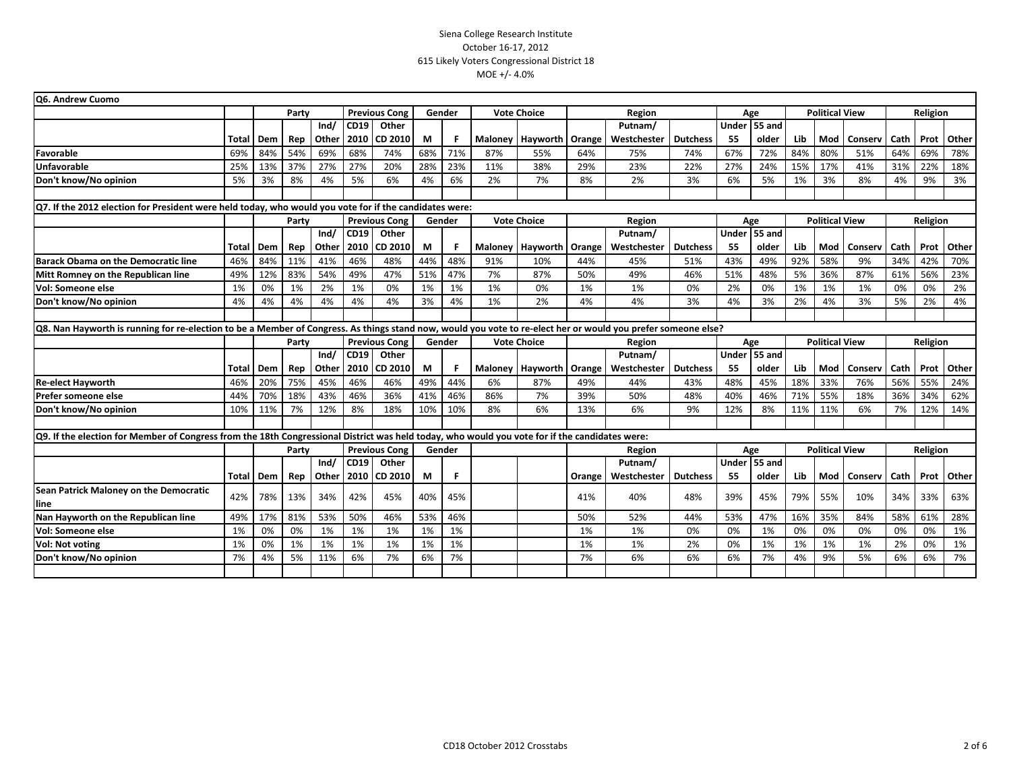| Q6. Andrew Cuomo                                                                                                                                              |       |     |       |       |      |                      |     |        |     |                    |        |             |                 |     |              |                       |                       |         |          |          |       |
|---------------------------------------------------------------------------------------------------------------------------------------------------------------|-------|-----|-------|-------|------|----------------------|-----|--------|-----|--------------------|--------|-------------|-----------------|-----|--------------|-----------------------|-----------------------|---------|----------|----------|-------|
|                                                                                                                                                               |       |     | Party |       |      | <b>Previous Cong</b> |     | Gender |     | <b>Vote Choice</b> |        | Region      |                 |     | Age          | <b>Political View</b> |                       |         |          | Religion |       |
|                                                                                                                                                               |       |     |       | Ind/  | CD19 | Other                |     |        |     |                    |        | Putnam/     |                 |     | Under 55 and |                       |                       |         |          |          |       |
|                                                                                                                                                               | Total | Dem | Rep   | Other | 2010 | CD 2010              | М   | F      |     | Maloney   Hayworth | Orange | Westchester | <b>Dutchess</b> | 55  | older        | Lib                   | Mod                   | Conserv | Cath     | Prot     | Other |
| Favorable                                                                                                                                                     | 69%   | 84% | 54%   | 69%   | 68%  | 74%                  | 68% | 71%    | 87% | 55%                | 64%    | 75%         | 74%             | 67% | 72%          | 84%                   | 80%                   | 51%     | 64%      | 69%      | 78%   |
| Unfavorable                                                                                                                                                   | 25%   | 13% | 37%   | 27%   | 27%  | 20%                  | 28% | 23%    | 11% | 38%                | 29%    | 23%         | 22%             | 27% | 24%          | 15%                   | 17%                   | 41%     | 31%      | 22%      | 18%   |
| Don't know/No opinion                                                                                                                                         | 5%    | 3%  | 8%    | 4%    | 5%   | 6%                   | 4%  | 6%     | 2%  | 7%                 | 8%     | 2%          | 3%              | 6%  | 5%           | 1%                    | 3%                    | 8%      | 4%       | 9%       | 3%    |
|                                                                                                                                                               |       |     |       |       |      |                      |     |        |     |                    |        |             |                 |     |              |                       |                       |         |          |          |       |
| $Q$ 7. If the 2012 election for President were held today, who would you vote for if the candidates were:                                                     |       |     |       |       |      |                      |     |        |     |                    |        |             |                 |     |              |                       |                       |         |          |          |       |
|                                                                                                                                                               |       |     | Party |       |      | <b>Previous Cong</b> |     | Gender |     | <b>Vote Choice</b> |        | Region      |                 |     | Age          |                       | <b>Political View</b> |         | Religion |          |       |
|                                                                                                                                                               |       |     |       | Ind/  | CD19 | Other                |     |        |     |                    |        | Putnam/     |                 |     | Under 55 and |                       |                       |         |          |          |       |
|                                                                                                                                                               | Total | Dem | Rep   | Other | 2010 | <b>CD 2010</b>       | M   | F      |     | Maloney   Hayworth | Orange | Westchester | <b>Dutchess</b> | -55 | older        | Lib                   | Mod                   | Conserv | Cath     | Prot     | Other |
| Barack Obama on the Democratic line                                                                                                                           | 46%   | 84% | 11%   | 41%   | 46%  | 48%                  | 44% | 48%    | 91% | 10%                | 44%    | 45%         | 51%             | 43% | 49%          | 92%                   | 58%                   | 9%      | 34%      | 42%      | 70%   |
| Mitt Romney on the Republican line                                                                                                                            | 49%   | 12% | 83%   | 54%   | 49%  | 47%                  | 51% | 47%    | 7%  | 87%                | 50%    | 49%         | 46%             | 51% | 48%          | 5%                    | 36%                   | 87%     | 61%      | 56%      | 23%   |
| Vol: Someone else                                                                                                                                             | 1%    | 0%  | 1%    | 2%    | 1%   | 0%                   | 1%  | 1%     | 1%  | 0%                 | 1%     | 1%          | 0%              | 2%  | 0%           | 1%                    | 1%                    | 1%      | 0%       | 0%       | 2%    |
| Don't know/No opinion                                                                                                                                         | 4%    | 4%  | 4%    | 4%    | 4%   | 4%                   | 3%  | 4%     | 1%  | 2%                 | 4%     | 4%          | 3%              | 4%  | 3%           | 2%                    | 4%                    | 3%      | 5%       | 2%       | 4%    |
|                                                                                                                                                               |       |     |       |       |      |                      |     |        |     |                    |        |             |                 |     |              |                       |                       |         |          |          |       |
| Q8. Nan Hayworth is running for re-election to be a Member of Congress. As things stand now, would you vote to re-elect her or would you prefer someone else? |       |     |       |       |      |                      |     |        |     |                    |        |             |                 |     |              |                       |                       |         |          |          |       |
|                                                                                                                                                               |       |     | Party |       |      | <b>Previous Cong</b> |     | Gender |     | <b>Vote Choice</b> |        | Region      |                 |     | Age          | <b>Political View</b> |                       |         | Religion |          |       |
|                                                                                                                                                               |       |     |       | Ind/  | CD19 | Other                |     |        |     |                    |        | Putnam/     | Under 55 and    |     |              |                       |                       |         |          |          |       |
|                                                                                                                                                               | Total | Dem | Rep   | Other | 2010 | CD 2010              | М   | F      |     | Maloney   Hayworth | Orange | Westchester | <b>Dutchess</b> | 55  | older        | Lib                   | Mod                   | Conserv | Cath     | Prot     | Other |
| <b>Re-elect Hayworth</b>                                                                                                                                      | 46%   | 20% | 75%   | 45%   | 46%  | 46%                  | 49% | 44%    | 6%  | 87%                | 49%    | 44%         | 43%             | 48% | 45%          | 18%                   | 33%                   | 76%     | 56%      | 55%      | 24%   |
| Prefer someone else                                                                                                                                           | 44%   | 70% | 18%   | 43%   | 46%  | 36%                  | 41% | 46%    | 86% | 7%                 | 39%    | 50%         | 48%             | 40% | 46%          | 71%                   | 55%                   | 18%     | 36%      | 34%      | 62%   |
| Don't know/No opinion                                                                                                                                         | 10%   | 11% | 7%    | 12%   | 8%   | 18%                  | 10% | 10%    | 8%  | 6%                 | 13%    | 6%          | 9%              | 12% | 8%           | 11%                   | 11%                   | 6%      | 7%       | 12%      | 14%   |
|                                                                                                                                                               |       |     |       |       |      |                      |     |        |     |                    |        |             |                 |     |              |                       |                       |         |          |          |       |
| Q9. If the election for Member of Congress from the 18th Congressional District was held today, who would you vote for if the candidates were:                |       |     |       |       |      |                      |     |        |     |                    |        |             |                 |     |              |                       |                       |         |          |          |       |
|                                                                                                                                                               |       |     | Party |       |      | <b>Previous Cong</b> |     | Gender |     |                    |        | Region      |                 |     | Age          |                       | <b>Political View</b> |         |          | Religion |       |
|                                                                                                                                                               |       |     |       | Ind/  | CD19 | Other                |     |        |     |                    |        | Putnam/     |                 |     | Under 55 and |                       |                       |         |          |          |       |
|                                                                                                                                                               | Total | Dem | Rep   | Other | 2010 | CD 2010              | М   | F      |     |                    | Orange | Westchester | <b>Dutchess</b> | 55  | older        | Lib                   | Mod                   | Conserv | Cath     | Prot     | Other |
| <b>Sean Patrick Maloney on the Democratic</b>                                                                                                                 | 42%   | 78% | 13%   | 34%   | 42%  | 45%                  | 40% | 45%    |     |                    | 41%    | 40%         | 48%             | 39% | 45%          | 79%                   | 55%                   | 10%     | 34%      | 33%      | 63%   |
| line                                                                                                                                                          |       |     |       |       |      |                      |     |        |     |                    |        |             |                 |     |              |                       |                       |         |          |          |       |
|                                                                                                                                                               |       |     |       |       |      |                      |     |        |     |                    |        |             |                 |     |              |                       |                       |         |          |          | 28%   |
| Nan Hayworth on the Republican line                                                                                                                           | 49%   | 17% | 81%   | 53%   | 50%  | 46%                  | 53% | 46%    |     |                    | 50%    | 52%         | 44%             | 53% | 47%          | 16%                   | 35%                   | 84%     | 58%      | 61%      |       |
| Vol: Someone else                                                                                                                                             | 1%    | 0%  | 0%    | 1%    | 1%   | 1%                   | 1%  | 1%     |     |                    | 1%     | 1%          | 0%              | 0%  | 1%           | 0%                    | 0%                    | 0%      | 0%       | 0%       | 1%    |
| <b>Vol: Not voting</b>                                                                                                                                        | 1%    | 0%  | 1%    | 1%    | 1%   | 1%                   | 1%  | 1%     |     |                    | 1%     | 1%          | 2%              | 0%  | 1%           | 1%                    | 1%                    | 1%      | 2%       | 0%       | 1%    |
| Don't know/No opinion                                                                                                                                         | 7%    | 4%  | 5%    | 11%   | 6%   | 7%                   | 6%  | 7%     |     |                    | 7%     | 6%          | 6%              | 6%  | 7%           | 4%                    | 9%                    | 5%      | 6%       | 6%       | 7%    |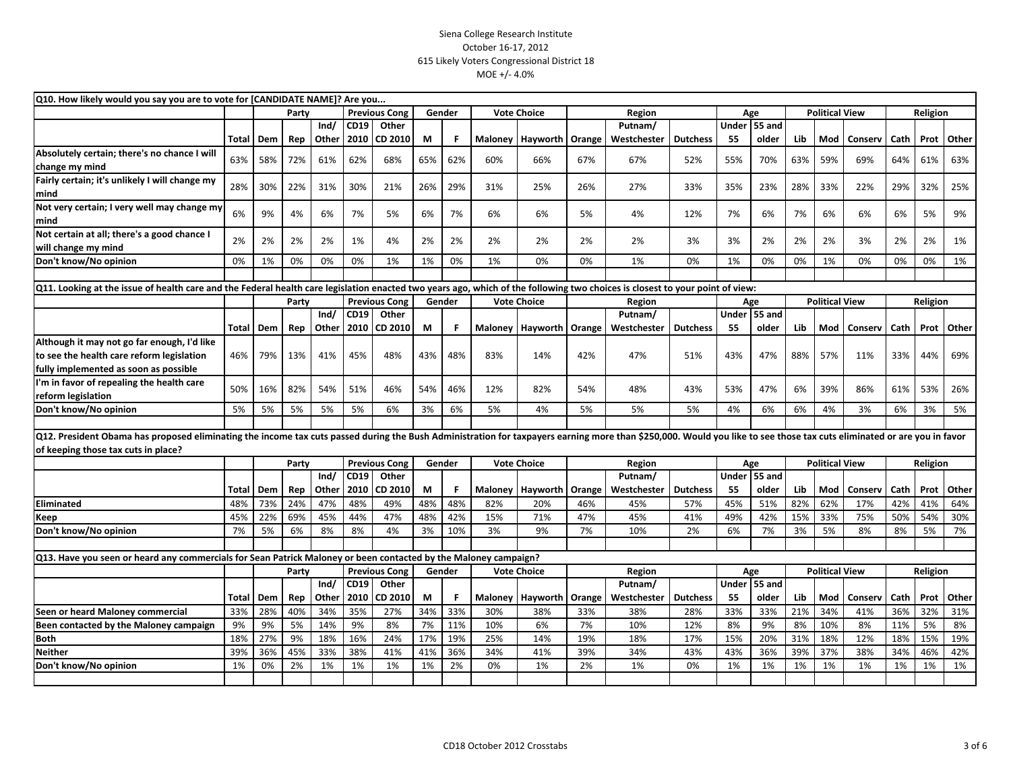| Q10. How likely would you say you are to vote for [CANDIDATE NAME]? Are you                                                                                                                                            |              |     |       |       |             |                      |     |           |         |                             |        |             |                 |           |                              |                       |                       |         |          |             |            |
|------------------------------------------------------------------------------------------------------------------------------------------------------------------------------------------------------------------------|--------------|-----|-------|-------|-------------|----------------------|-----|-----------|---------|-----------------------------|--------|-------------|-----------------|-----------|------------------------------|-----------------------|-----------------------|---------|----------|-------------|------------|
|                                                                                                                                                                                                                        |              |     | Party |       |             | <b>Previous Cong</b> |     | Gender    |         | <b>Vote Choice</b>          |        | Region      |                 |           | Age                          |                       | <b>Political View</b> |         |          | Religion    |            |
|                                                                                                                                                                                                                        |              |     |       | Ind/  | CD19        | Other                |     |           |         |                             |        | Putnam/     |                 | Under     | <b>55 and</b>                |                       |                       |         |          |             |            |
|                                                                                                                                                                                                                        | Total        | Dem | Rep   | Other | 2010        | CD 2010              | M   | F         |         | Maloney   Hayworth   Orange |        | Westchester | <b>Dutchess</b> | 55        | older                        | Lib                   | Mod                   | Conserv | Cath     |             | Prot Other |
| Absolutely certain; there's no chance I will                                                                                                                                                                           | 63%          | 58% | 72%   | 61%   | 62%         | 68%                  | 65% | 62%       | 60%     | 66%                         | 67%    | 67%         | 52%             | 55%       | 70%                          | 63%                   | 59%                   | 69%     | 64%      | 61%         | 63%        |
| change my mind                                                                                                                                                                                                         |              |     |       |       |             |                      |     |           |         |                             |        |             |                 |           |                              |                       |                       |         |          |             |            |
| Fairly certain; it's unlikely I will change my                                                                                                                                                                         | 28%          | 30% | 22%   | 31%   | 30%         | 21%                  | 26% | 29%       | 31%     | 25%                         | 26%    | 27%         | 33%             | 35%       | 23%                          | 28%                   | 33%                   | 22%     | 29%      | 32%         | 25%        |
| mind                                                                                                                                                                                                                   |              |     |       |       |             |                      |     |           |         |                             |        |             |                 |           |                              |                       |                       |         |          |             |            |
| Not very certain; I very well may change my                                                                                                                                                                            | 6%           | 9%  | 4%    | 6%    | 7%          | 5%                   | 6%  | 7%        | 6%      | 6%                          | 5%     | 4%          | 12%             | 7%        | 6%                           | 7%                    | 6%                    | 6%      | 6%       | 5%          | 9%         |
| mind                                                                                                                                                                                                                   |              |     |       |       |             |                      |     |           |         |                             |        |             |                 |           |                              |                       |                       |         |          |             |            |
| Not certain at all; there's a good chance I                                                                                                                                                                            | 2%           | 2%  | 2%    | 2%    | 1%          | 4%                   | 2%  | 2%        | 2%      | 2%                          | 2%     | 2%          | 3%              | 3%        | 2%                           | 2%                    | 2%                    | 3%      | 2%       | 2%          | 1%         |
| will change my mind                                                                                                                                                                                                    |              |     |       |       |             |                      |     |           |         |                             |        |             |                 |           |                              |                       |                       |         |          |             |            |
| Don't know/No opinion                                                                                                                                                                                                  | 0%           | 1%  | 0%    | 0%    | 0%          | 1%                   | 1%  | 0%        | 1%      | 0%                          | 0%     | 1%          | 0%              | 1%        | 0%                           | 0%                    | 1%                    | 0%      | 0%       | 0%          | 1%         |
|                                                                                                                                                                                                                        |              |     |       |       |             |                      |     |           |         |                             |        |             |                 |           |                              |                       |                       |         |          |             |            |
| Q11. Looking at the issue of health care and the Federal health care legislation enacted two years ago, which of the following two choices is closest to your point of view:                                           |              |     |       |       |             |                      |     |           |         |                             |        |             |                 |           |                              |                       |                       |         |          |             |            |
|                                                                                                                                                                                                                        |              |     | Party |       |             | <b>Previous Cong</b> |     | Gender    |         | <b>Vote Choice</b>          |        | Region      |                 |           | Age                          | <b>Political View</b> |                       |         | Religion |             |            |
|                                                                                                                                                                                                                        |              |     |       | Ind/  | CD19        | Other                |     |           |         |                             |        | Putnam/     |                 | Under     | <b>55 and</b>                |                       |                       |         |          |             |            |
|                                                                                                                                                                                                                        | <b>Total</b> | Dem | Rep   | Other | 2010        | CD 2010              | M   | F         |         | Maloney   Hayworth   Orange |        | Westchester | <b>Dutchess</b> | 55        | older                        | Lib                   | Mod                   | Conserv | Cath     | Prot        | Other      |
| Although it may not go far enough, I'd like                                                                                                                                                                            |              |     |       |       |             |                      |     |           |         |                             |        |             |                 |           |                              |                       |                       |         |          |             |            |
| to see the health care reform legislation                                                                                                                                                                              | 46%          | 79% | 13%   | 41%   | 45%         | 48%                  | 43% | 48%       | 83%     | 14%                         | 42%    | 47%         | 51%             | 43%       | 47%                          | 88%                   | 57%                   | 11%     | 33%      | 44%         | 69%        |
| fully implemented as soon as possible                                                                                                                                                                                  |              |     |       |       |             |                      |     |           |         |                             |        |             |                 |           |                              |                       |                       |         |          |             |            |
| 'm in favor of repealing the health care                                                                                                                                                                               | 50%          | 16% | 82%   | 54%   | 51%         | 46%                  | 54% | 46%       | 12%     | 82%                         | 54%    | 48%         | 43%             | 53%       | 47%                          | 6%                    | 39%                   | 86%     | 61%      | 53%         | 26%        |
| reform legislation                                                                                                                                                                                                     |              |     |       |       |             |                      |     |           |         |                             |        |             |                 |           |                              |                       |                       |         |          |             |            |
| Don't know/No opinion                                                                                                                                                                                                  | 5%           | 5%  | 5%    | 5%    | 5%          | 6%                   | 3%  | 6%        | 5%      | 4%                          | 5%     | 5%          | 5%              | 4%        | 6%                           | 6%                    | 4%                    | 3%      | 6%       | 3%          | 5%         |
|                                                                                                                                                                                                                        |              |     |       |       |             |                      |     |           |         |                             |        |             |                 |           |                              |                       |                       |         |          |             |            |
| Q12. President Obama has proposed eliminating the income tax cuts passed during the Bush Administration for taxpayers earning more than \$250,000. Would you like to see those tax cuts eliminated or are you in favor |              |     |       |       |             |                      |     |           |         |                             |        |             |                 |           |                              |                       |                       |         |          |             |            |
| of keeping those tax cuts in place?                                                                                                                                                                                    |              |     |       |       |             |                      |     |           |         |                             |        |             |                 |           |                              |                       |                       |         |          |             |            |
|                                                                                                                                                                                                                        |              |     | Party |       |             | <b>Previous Cong</b> |     | Gender    |         | <b>Vote Choice</b>          |        | Region      |                 |           | <b>Political View</b><br>Age |                       |                       |         | Religion |             |            |
|                                                                                                                                                                                                                        |              |     |       | Ind/  | <b>CD19</b> | Other                |     |           |         |                             |        | Putnam/     |                 | Under     | 55 and                       |                       |                       |         |          |             |            |
|                                                                                                                                                                                                                        | Total        | Dem | Rep   | Other | 2010        | CD 2010              | M   | -F        | Maloney | Hayworth   Orange           |        | Westchester | <b>Dutchess</b> | 55        | older                        | Lib                   | Mod                   | Conserv | Cath     | Prot        | Other      |
| <b>Eliminated</b>                                                                                                                                                                                                      | 48%          | 73% | 24%   | 47%   | 48%         | 49%                  | 48% | 48%       | 82%     | 20%                         | 46%    | 45%         | 57%             | 45%       | 51%                          | 82%                   | 62%                   | 17%     | 42%      | 41%         | 64%        |
| Keep                                                                                                                                                                                                                   | 45%          | 22% | 69%   | 45%   | 44%         | 47%                  | 48% | 42%       | 15%     | 71%                         | 47%    | 45%         | 41%             | 49%       | 42%                          | 15%                   | 33%                   | 75%     | 50%      | 54%         | 30%        |
| Don't know/No opinion                                                                                                                                                                                                  | 7%           | 5%  | 6%    | 8%    | 8%          | 4%                   | 3%  | 10%       | 3%      | 9%                          | 7%     | 10%         | 2%              | 6%        | 7%                           | 3%                    | 5%                    | 8%      | 8%       | 5%          | 7%         |
|                                                                                                                                                                                                                        |              |     |       |       |             |                      |     |           |         |                             |        |             |                 |           |                              |                       |                       |         |          |             |            |
| Q13. Have you seen or heard any commercials for Sean Patrick Maloney or been contacted by the Maloney campaign?                                                                                                        |              |     |       |       |             |                      |     |           |         |                             |        |             |                 |           |                              |                       |                       |         |          |             |            |
|                                                                                                                                                                                                                        |              |     | Party |       |             | <b>Previous Cong</b> |     | Gender    |         | <b>Vote Choice</b>          |        | Region      |                 |           | Age                          |                       | <b>Political View</b> |         |          | Religion    |            |
|                                                                                                                                                                                                                        |              |     |       | Ind/  | <b>CD19</b> | Other                |     |           |         |                             |        | Putnam/     |                 | Under     | $\overline{55}$ and          |                       |                       |         |          |             |            |
|                                                                                                                                                                                                                        | Total        | Dem | Rep   | Other | 2010        | CD 2010              | M   | -F<br>33% |         | Maloney   Hayworth          | Orange | Westchester | <b>Dutchess</b> | 55<br>33% | older                        | Lib                   | Mod<br>34%            | Conserv | Cath     | Prot<br>32% | Other      |
| Seen or heard Maloney commercial                                                                                                                                                                                       | 33%          | 28% | 40%   | 34%   | 35%         | 27%                  | 34% |           | 30%     | 38%                         | 33%    | 38%         | 28%             |           | 33%                          | 21%                   |                       | 41%     | 36%      |             | 31%        |
| Been contacted by the Maloney campaign                                                                                                                                                                                 | 9%           | 9%  | 5%    | 14%   | 9%          | 8%                   | 7%  | 11%       | 10%     | 6%                          | 7%     | 10%         | 12%             | 8%        | 9%                           | 8%                    | 10%                   | 8%      | 11%      | 5%          | 8%         |
| <b>Both</b>                                                                                                                                                                                                            | 18%          | 27% | 9%    | 18%   | 16%         | 24%                  | 17% | 19%       | 25%     | 14%                         | 19%    | 18%         | 17%             | 15%       | 20%                          | 31%                   | 18%                   | 12%     | 18%      | 15%         | 19%        |
| <b>Neither</b>                                                                                                                                                                                                         | 39%          | 36% | 45%   | 33%   | 38%         | 41%                  | 41% | 36%       | 34%     | 41%                         | 39%    | 34%         | 43%             | 43%       | 36%                          | 39%                   | 37%                   | 38%     | 34%      | 46%         | 42%        |
| Don't know/No opinion                                                                                                                                                                                                  | 1%           | 0%  | 2%    | 1%    | 1%          | 1%                   | 1%  | 2%        | 0%      | 1%                          | 2%     | 1%          | 0%              | 1%        | 1%                           | 1%                    | 1%                    | 1%      | 1%       | 1%          | 1%         |
|                                                                                                                                                                                                                        |              |     |       |       |             |                      |     |           |         |                             |        |             |                 |           |                              |                       |                       |         |          |             |            |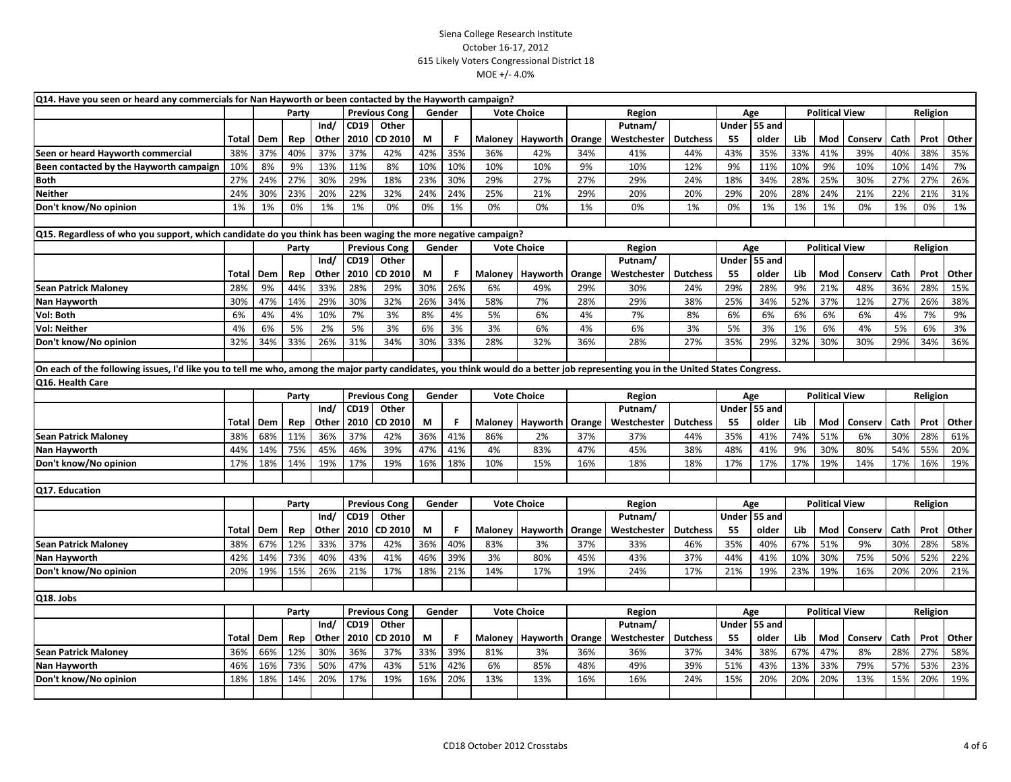| Q14. Have you seen or heard any commercials for Nan Hayworth or been contacted by the Hayworth campaign?                                                                        |       |     |       |       |      |                      |     |        |         |                    |        |             |                 |              |               |     |                       |         |      |          |       |  |
|---------------------------------------------------------------------------------------------------------------------------------------------------------------------------------|-------|-----|-------|-------|------|----------------------|-----|--------|---------|--------------------|--------|-------------|-----------------|--------------|---------------|-----|-----------------------|---------|------|----------|-------|--|
|                                                                                                                                                                                 |       |     | Party |       |      | <b>Previous Cong</b> |     | Gender |         | <b>Vote Choice</b> |        | Region      |                 |              | Age           |     | <b>Political View</b> |         |      | Religion |       |  |
|                                                                                                                                                                                 |       |     |       | Ind/  | CD19 | Other                |     |        |         |                    |        | Putnam/     |                 |              | Under 55 and  |     |                       |         |      |          |       |  |
|                                                                                                                                                                                 | Total | Dem | Rep   | Other | 2010 | CD 2010              | М   | F      |         | Maloney   Hayworth | Orange | Westchester | <b>Dutchess</b> | 55           | older         | Lib | Mod                   | Conserv | Cath | Prot     | Other |  |
| Seen or heard Hayworth commercial                                                                                                                                               | 38%   | 37% | 40%   | 37%   | 37%  | 42%                  | 42% | 35%    | 36%     | 42%                | 34%    | 41%         | 44%             | 43%          | 35%           | 33% | 41%                   | 39%     | 40%  | 38%      | 35%   |  |
| Been contacted by the Hayworth campaign                                                                                                                                         | 10%   | 8%  | 9%    | 13%   | 11%  | 8%                   | 10% | 10%    | 10%     | 10%                | 9%     | 10%         | 12%             | 9%           | 11%           | 10% | 9%                    | 10%     | 10%  | 14%      | 7%    |  |
| <b>Both</b>                                                                                                                                                                     | 27%   | 24% | 27%   | 30%   | 29%  | 18%                  | 23% | 30%    | 29%     | 27%                | 27%    | 29%         | 24%             | 18%          | 34%           | 28% | 25%                   | 30%     | 27%  | 27%      | 26%   |  |
| <b>Neither</b>                                                                                                                                                                  | 24%   | 30% | 23%   | 20%   | 22%  | 32%                  | 24% | 24%    | 25%     | 21%                | 29%    | 20%         | 20%             | 29%          | 20%           | 28% | 24%                   | 21%     | 22%  | 21%      | 31%   |  |
| Don't know/No opinion                                                                                                                                                           | 1%    | 1%  | 0%    | 1%    | 1%   | 0%                   | 0%  | 1%     | 0%      | 0%                 | 1%     | 0%          | 1%              | 0%           | 1%            | 1%  | 1%                    | 0%      | 1%   | 0%       | 1%    |  |
|                                                                                                                                                                                 |       |     |       |       |      |                      |     |        |         |                    |        |             |                 |              |               |     |                       |         |      |          |       |  |
| Q15. Regardless of who you support, which candidate do you think has been waging the more negative campaign?                                                                    |       |     |       |       |      |                      |     |        |         |                    |        |             |                 |              |               |     |                       |         |      |          |       |  |
|                                                                                                                                                                                 |       |     | Party |       |      | <b>Previous Cong</b> |     | Gender |         | <b>Vote Choice</b> |        | Region      |                 |              | Age           |     | <b>Political View</b> |         |      | Religion |       |  |
|                                                                                                                                                                                 |       |     |       | Ind/  | CD19 | Other                |     |        |         |                    |        | Putnam/     |                 | <b>Under</b> | 55 and        |     |                       |         |      |          |       |  |
|                                                                                                                                                                                 | Total | Dem | Rep   | Other | 2010 | CD 2010              | M   | F      | Maloney | Hayworth           | Orange | Westchester | <b>Dutchess</b> | 55           | older         | Lib | Mod                   | Conserv | Cath | Prot     | Other |  |
| <b>Sean Patrick Maloney</b>                                                                                                                                                     | 28%   | 9%  | 44%   | 33%   | 28%  | 29%                  | 30% | 26%    | 6%      | 49%                | 29%    | 30%         | 24%             | 29%          | 28%           | 9%  | 21%                   | 48%     | 36%  | 28%      | 15%   |  |
| Nan Hayworth                                                                                                                                                                    | 30%   | 47% | 14%   | 29%   | 30%  | 32%                  | 26% | 34%    | 58%     | 7%                 | 28%    | 29%         | 38%             | 25%          | 34%           | 52% | 37%                   | 12%     | 27%  | 26%      | 38%   |  |
| Vol: Both                                                                                                                                                                       | 6%    | 4%  | 4%    | 10%   | 7%   | 3%                   | 8%  | 4%     | 5%      | 6%                 | 4%     | 7%          | 8%              | 6%           | 6%            | 6%  | 6%                    | 6%      | 4%   | 7%       | 9%    |  |
| <b>Vol: Neither</b>                                                                                                                                                             | 4%    | 6%  | 5%    | 2%    | 5%   | 3%                   | 6%  | 3%     | 3%      | 6%                 | 4%     | 6%          | 3%              | 5%           | 3%            | 1%  | 6%                    | 4%      | 5%   | 6%       | 3%    |  |
| Don't know/No opinion                                                                                                                                                           | 32%   | 34% | 33%   | 26%   | 31%  | 34%                  | 30% | 33%    | 28%     | 32%                | 36%    | 28%         | 27%             | 35%          | 29%           | 32% | 30%                   | 30%     | 29%  | 34%      | 36%   |  |
|                                                                                                                                                                                 |       |     |       |       |      |                      |     |        |         |                    |        |             |                 |              |               |     |                       |         |      |          |       |  |
| On each of the following issues, I'd like you to tell me who, among the major party candidates, you think would do a better job representing you in the United States Congress. |       |     |       |       |      |                      |     |        |         |                    |        |             |                 |              |               |     |                       |         |      |          |       |  |
| Q16. Health Care                                                                                                                                                                |       |     |       |       |      |                      |     |        |         |                    |        |             |                 |              |               |     |                       |         |      |          |       |  |
|                                                                                                                                                                                 |       |     | Party |       |      | <b>Previous Cong</b> |     | Gender |         | <b>Vote Choice</b> |        | Region      |                 |              | Age           |     | <b>Political View</b> |         |      | Religion |       |  |
|                                                                                                                                                                                 |       |     |       | Ind/  | CD19 | Other                |     |        |         |                    |        | Putnam/     |                 |              | Under 55 and  |     |                       |         |      |          |       |  |
|                                                                                                                                                                                 | Total | Dem | Rep   | Other | 2010 | <b>CD 2010</b>       | M   | F      | Maloney | Hayworth           | Orange | Westchester | <b>Dutchess</b> | 55           | older         | Lib | Mod                   | Conserv | Cath | Prot     | Other |  |
| <b>Sean Patrick Maloney</b>                                                                                                                                                     | 38%   | 68% | 11%   | 36%   | 37%  | 42%                  | 36% | 41%    | 86%     | 2%                 | 37%    | 37%         | 44%             | 35%          | 41%           | 74% | 51%                   | 6%      | 30%  | 28%      | 61%   |  |
| Nan Hayworth                                                                                                                                                                    | 44%   | 14% | 75%   | 45%   | 46%  | 39%                  | 47% | 41%    | 4%      | 83%                | 47%    | 45%         | 38%             | 48%          | 41%           | 9%  | 30%                   | 80%     | 54%  | 55%      | 20%   |  |
| Don't know/No opinion                                                                                                                                                           | 17%   | 18% | 14%   | 19%   | 17%  | 19%                  | 16% | 18%    | 10%     | 15%                | 16%    | 18%         | 18%             | 17%          | 17%           | 17% | 19%                   | 14%     | 17%  | 16%      | 19%   |  |
|                                                                                                                                                                                 |       |     |       |       |      |                      |     |        |         |                    |        |             |                 |              |               |     |                       |         |      |          |       |  |
| Q17. Education                                                                                                                                                                  |       |     |       |       |      |                      |     |        |         |                    |        |             |                 |              |               |     |                       |         |      |          |       |  |
|                                                                                                                                                                                 |       |     | Party |       |      | <b>Previous Cong</b> |     | Gender |         | <b>Vote Choice</b> |        | Region      |                 |              | Age           |     | <b>Political View</b> |         |      | Religion |       |  |
|                                                                                                                                                                                 |       |     |       | Ind/  | CD19 | Other                |     |        |         |                    |        | Putnam/     |                 |              | Under 55 and  |     |                       |         |      |          |       |  |
|                                                                                                                                                                                 | Total | Dem | Rep   | Other | 2010 | CD 2010              | М   | F      | Maloney | Hayworth           | Orange | Westchester | <b>Dutchess</b> | 55           | older         | Lib | Mod                   | Conserv | Cath | Prot     | Other |  |
| <b>Sean Patrick Maloney</b>                                                                                                                                                     | 38%   | 67% | 12%   | 33%   | 37%  | 42%                  | 36% | 40%    | 83%     | 3%                 | 37%    | 33%         | 46%             | 35%          | 40%           | 67% | 51%                   | 9%      | 30%  | 28%      | 58%   |  |
| Nan Hayworth                                                                                                                                                                    | 42%   | 14% | 73%   | 40%   | 43%  | 41%                  | 46% | 39%    | 3%      | 80%                | 45%    | 43%         | 37%             | 44%          | 41%           | 10% | 30%                   | 75%     | 50%  | 52%      | 22%   |  |
| Don't know/No opinion                                                                                                                                                           | 20%   | 19% | 15%   | 26%   | 21%  | 17%                  | 18% | 21%    | 14%     | 17%                | 19%    | 24%         | 17%             | 21%          | 19%           | 23% | 19%                   | 16%     | 20%  | 20%      | 21%   |  |
|                                                                                                                                                                                 |       |     |       |       |      |                      |     |        |         |                    |        |             |                 |              |               |     |                       |         |      |          |       |  |
| Q18. Jobs                                                                                                                                                                       |       |     |       |       |      |                      |     |        |         |                    |        |             |                 |              |               |     |                       |         |      |          |       |  |
|                                                                                                                                                                                 |       |     | Party |       |      | <b>Previous Cong</b> |     | Gender |         | <b>Vote Choice</b> |        | Region      |                 |              | Age           |     | <b>Political View</b> |         |      | Religion |       |  |
|                                                                                                                                                                                 |       |     |       | Ind/  | CD19 | Other                |     |        |         |                    |        | Putnam/     |                 | Under        | <b>55 and</b> |     |                       |         |      |          |       |  |
|                                                                                                                                                                                 | Total | Dem | Rep   | Other | 2010 | CD 2010              | M   | F      | Maloney | Hayworth           | Orange | Westchester | <b>Dutchess</b> | 55           | older         | Lib | Mod                   | Conserv | Cath | Prot     | Other |  |
| <b>Sean Patrick Maloney</b>                                                                                                                                                     | 36%   | 66% | 12%   | 30%   | 36%  | 37%                  | 33% | 39%    | 81%     | 3%                 | 36%    | 36%         | 37%             | 34%          | 38%           | 67% | 47%                   | 8%      | 28%  | 27%      | 58%   |  |
| Nan Hayworth                                                                                                                                                                    | 46%   | 16% | 73%   | 50%   | 47%  | 43%                  | 51% | 42%    | 6%      | 85%                | 48%    | 49%         | 39%             | 51%          | 43%           | 13% | 33%                   | 79%     | 57%  | 53%      | 23%   |  |
| Don't know/No opinion                                                                                                                                                           | 18%   | 18% | 14%   | 20%   | 17%  | 19%                  | 16% | 20%    | 13%     | 13%                | 16%    | 16%         | 24%             | 15%          | 20%           | 20% | 20%                   | 13%     | 15%  | 20%      | 19%   |  |
|                                                                                                                                                                                 |       |     |       |       |      |                      |     |        |         |                    |        |             |                 |              |               |     |                       |         |      |          |       |  |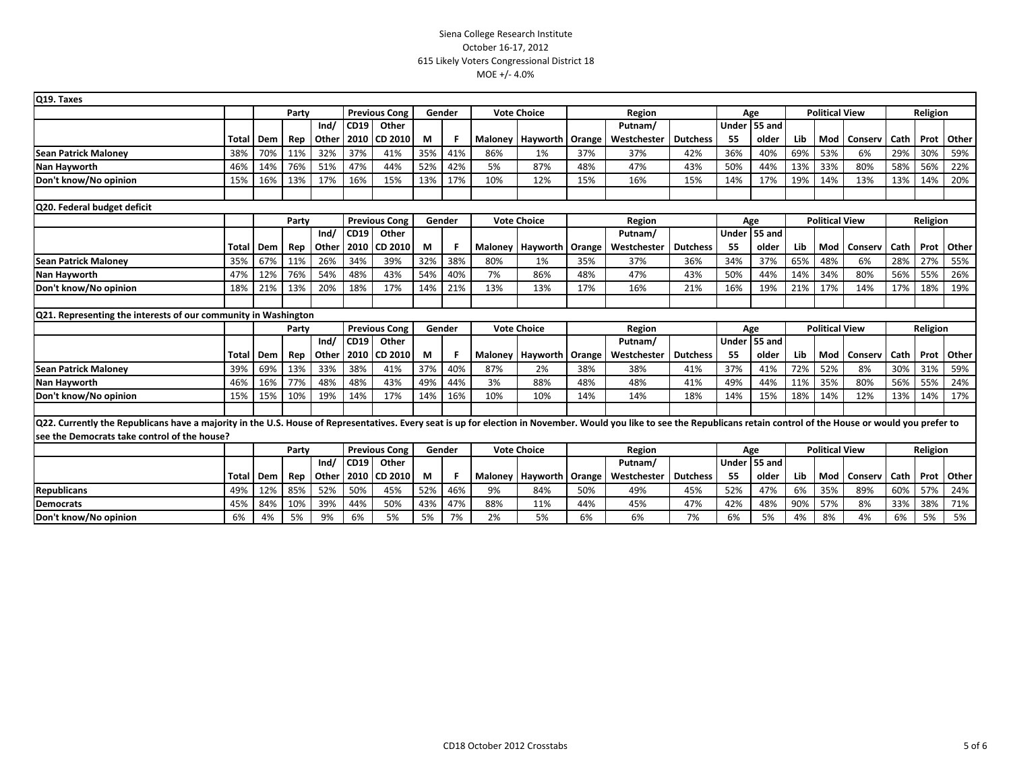| Q19. Taxes                                                                                                                                                                                                               |                                                                                                                               |     |       |       |      |                      |        |     |     |                    |        |             |                 |              |                       |                       |                       |         |          |          |            |
|--------------------------------------------------------------------------------------------------------------------------------------------------------------------------------------------------------------------------|-------------------------------------------------------------------------------------------------------------------------------|-----|-------|-------|------|----------------------|--------|-----|-----|--------------------|--------|-------------|-----------------|--------------|-----------------------|-----------------------|-----------------------|---------|----------|----------|------------|
|                                                                                                                                                                                                                          |                                                                                                                               |     | Party |       |      | <b>Previous Cong</b> | Gender |     |     | <b>Vote Choice</b> | Region |             |                 |              | Age                   |                       | <b>Political View</b> |         |          | Religion |            |
|                                                                                                                                                                                                                          |                                                                                                                               |     |       | Ind/  | CD19 | Other                |        |     |     |                    |        | Putnam/     |                 | Under        | 55 and                |                       |                       |         |          |          |            |
|                                                                                                                                                                                                                          | Total                                                                                                                         | Dem | Rep   | Other | 2010 | CD 2010              | М      | F   |     | Maloney   Hayworth | Orange | Westchester | <b>Dutchess</b> | 55           | older                 | Lib                   | Mod                   | Conserv | Cath     | Prot     | Other      |
| <b>Sean Patrick Maloney</b>                                                                                                                                                                                              | 38%                                                                                                                           | 70% | 11%   | 32%   | 37%  | 41%                  | 35%    | 41% | 86% | 1%                 | 37%    | 37%         | 42%             | 36%          | 40%                   | 69%                   | 53%                   | 6%      | 29%      | 30%      | 59%        |
| Nan Hayworth                                                                                                                                                                                                             | 46%                                                                                                                           | 14% | 76%   | 51%   | 47%  | 44%                  | 52%    | 42% | 5%  | 87%                | 48%    | 47%         | 43%             | 50%          | 44%                   | 13%                   | 33%                   | 80%     | 58%      | 56%      | 22%        |
| Don't know/No opinion                                                                                                                                                                                                    | 15%                                                                                                                           | 16% | 13%   | 17%   | 16%  | 15%                  | 13%    | 17% | 10% | 12%                | 15%    | 16%         | 15%             | 14%          | 17%                   | 19%                   | 14%                   | 13%     | 13%      | 14%      | 20%        |
| Q20. Federal budget deficit                                                                                                                                                                                              |                                                                                                                               |     |       |       |      |                      |        |     |     |                    |        |             |                 |              |                       |                       |                       |         |          |          |            |
|                                                                                                                                                                                                                          |                                                                                                                               |     | Party |       |      | <b>Previous Cong</b> | Gender |     |     | <b>Vote Choice</b> |        | Region      |                 |              | Age                   |                       | <b>Political View</b> |         |          |          |            |
|                                                                                                                                                                                                                          |                                                                                                                               |     |       | Ind/  | CD19 | Other                |        |     |     |                    |        | Putnam/     |                 | <b>Under</b> | 55 and                |                       |                       |         |          | Religion |            |
|                                                                                                                                                                                                                          | Total                                                                                                                         | Dem | Rep   | Other | 2010 | CD 2010              | М      | F   |     | Maloney   Hayworth | Orange | Westchester | <b>Dutchess</b> | 55           | older                 | Lib                   | Mod                   | Conserv | Cath     |          | Prot Other |
| <b>Sean Patrick Maloney</b>                                                                                                                                                                                              | 35%                                                                                                                           | 67% | 11%   | 26%   | 34%  | 39%                  | 32%    | 38% | 80% | 1%                 | 35%    | 37%         | 36%             | 34%          | 37%                   | 65%                   | 48%                   | 6%      | 28%      | 27%      | 55%        |
| Nan Hayworth                                                                                                                                                                                                             | 47%                                                                                                                           | 12% | 76%   | 54%   | 48%  | 43%                  | 54%    | 40% | 7%  | 86%                | 48%    | 47%         | 43%             | 50%          | 44%                   | 14%                   | 34%                   | 80%     | 56%      | 55%      | 26%        |
| Don't know/No opinion                                                                                                                                                                                                    | 18%                                                                                                                           | 21% | 13%   | 20%   | 18%  | 17%                  | 14%    | 21% | 13% | 13%                | 17%    | 16%         | 21%             | 16%          | 19%                   | 21%                   | 17%                   | 14%     | 17%      | 18%      | 19%        |
|                                                                                                                                                                                                                          |                                                                                                                               |     |       |       |      |                      |        |     |     |                    |        |             |                 |              |                       |                       |                       |         |          |          |            |
|                                                                                                                                                                                                                          | Q21. Representing the interests of our community in Washington<br><b>Vote Choice</b><br><b>Previous Cong</b><br>Gender<br>Age |     |       |       |      |                      |        |     |     |                    |        |             |                 |              |                       |                       |                       |         |          |          |            |
|                                                                                                                                                                                                                          |                                                                                                                               |     | Party | Ind/  | CD19 | Other                |        |     |     |                    |        | Putnam/     | Region          |              |                       | <b>Political View</b> |                       |         | Religion |          |            |
|                                                                                                                                                                                                                          | Total                                                                                                                         | Dem | Rep   | Other | 2010 | CD 2010              | М      | F   |     | Maloney Hayworth   | Orange | Westchester | <b>Dutchess</b> | 55           | Under 55 and<br>older | Lib                   | Mod                   | Conserv | Cath     |          | Prot Other |
| <b>Sean Patrick Maloney</b>                                                                                                                                                                                              | 39%                                                                                                                           | 69% | 13%   | 33%   | 38%  | 41%                  | 37%    | 40% | 87% | 2%                 | 38%    | 38%         | 41%             | 37%          | 41%                   | 72%                   | 52%                   | 8%      | 30%      | 31%      | 59%        |
| Nan Hayworth                                                                                                                                                                                                             | 46%                                                                                                                           | 16% | 77%   | 48%   | 48%  | 43%                  | 49%    | 44% | 3%  | 88%                | 48%    | 48%         | 41%             | 49%          | 44%                   | 11%                   | 35%                   | 80%     | 56%      | 55%      | 24%        |
| Don't know/No opinion                                                                                                                                                                                                    | 15%                                                                                                                           | 15% | 10%   | 19%   | 14%  | 17%                  | 14%    | 16% | 10% | 10%                | 14%    | 14%         | 18%             | 14%          | 15%                   | 18%                   | 14%                   | 12%     | 13%      | 14%      | 17%        |
|                                                                                                                                                                                                                          |                                                                                                                               |     |       |       |      |                      |        |     |     |                    |        |             |                 |              |                       |                       |                       |         |          |          |            |
| Q22. Currently the Republicans have a majority in the U.S. House of Representatives. Every seat is up for election in November. Would you like to see the Republicans retain control of the House or would you prefer to |                                                                                                                               |     |       |       |      |                      |        |     |     |                    |        |             |                 |              |                       |                       |                       |         |          |          |            |
| see the Democrats take control of the house?                                                                                                                                                                             |                                                                                                                               |     |       |       |      |                      |        |     |     |                    |        |             |                 |              |                       |                       |                       |         |          |          |            |
|                                                                                                                                                                                                                          |                                                                                                                               |     | Party |       |      | <b>Previous Cong</b> | Gender |     |     | <b>Vote Choice</b> |        | Region      |                 |              | Age                   |                       | <b>Political View</b> |         |          | Religion |            |
|                                                                                                                                                                                                                          |                                                                                                                               |     |       | Ind/  | CD19 | Other                |        |     |     |                    |        | Putnam/     |                 |              | Under 55 and          |                       |                       |         |          |          |            |
|                                                                                                                                                                                                                          | Total                                                                                                                         | Dem | Rep   | Other | 2010 | CD 2010              | М      | F   |     | Maloney   Hayworth | Orange | Westchester | <b>Dutchess</b> | 55           | older                 | Lib                   | Mod                   | Conserv | Cath     |          | Prot Other |
| <b>Republicans</b>                                                                                                                                                                                                       | 49%                                                                                                                           | 12% | 85%   | 52%   | 50%  | 45%                  | 52%    | 46% | 9%  | 84%                | 50%    | 49%         | 45%             | 52%          | 47%                   | 6%                    | 35%                   | 89%     | 60%      | 57%      | 24%        |
| <b>Democrats</b>                                                                                                                                                                                                         | 45%                                                                                                                           | 84% | 10%   | 39%   | 44%  | 50%                  | 43%    | 47% | 88% | 11%                | 44%    | 45%         | 47%             | 42%          | 48%                   | 90%                   | 57%                   | 8%      | 33%      | 38%      | 71%        |
| Don't know/No opinion                                                                                                                                                                                                    | 6%                                                                                                                            | 4%  | 5%    | 9%    | 6%   | 5%                   | 5%     | 7%  | 2%  | 5%                 | 6%     | 6%          | 7%              | 6%           | 5%                    | 4%                    | 8%                    | 4%      | 6%       | 5%       | 5%         |